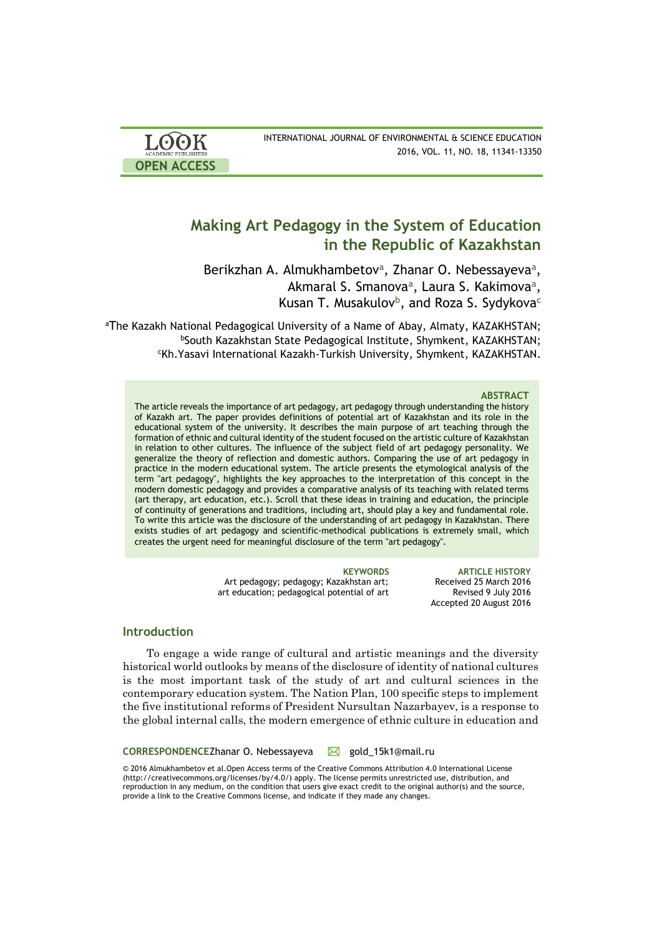| <b>LOOK</b>                | INTERNATIONAL JOURNAL OF ENVIRONMENTAL & SCIENCE EDUCATION |
|----------------------------|------------------------------------------------------------|
| <b>ACADEMIC PUBLISHERS</b> | 2016, VOL. 11, NO. 18, 11341-13350                         |
| <b>OPEN ACCESS</b>         |                                                            |

# **Making Art Pedagogy in the System of Education in the Republic of Kazakhstan**

Berikzhan A. Almukhambetov<sup>a</sup>, Zhanar O. Nebessayeva<sup>a</sup>, Akmaral S. Smanova<sup>a</sup>, Laura S. Kakimova<sup>a</sup>, Kusan T. Musakulov<sup>b</sup>, and Roza S. Sydykova<sup>c</sup>

<sup>a</sup>The Kazakh National Pedagogical University of a Name of Abay, Almaty, [KAZAKHSTAN;](https://en.wikipedia.org/wiki/Kazakhstan) <sup>b</sup>South Kazakhstan State Pedagogical Institute, Shymkent, KAZAKHSTAN; <sup>c</sup>Kh.Yasavi International Kazakh-Turkish University, Shymkent, KAZAKHSTAN.

#### **ABSTRACT**

The article reveals the importance of art pedagogy, art pedagogy through understanding the history of Kazakh art. The paper provides definitions of potential art of Kazakhstan and its role in the educational system of the university. It describes the main purpose of art teaching through the formation of ethnic and cultural identity of the student focused on the artistic culture of Kazakhstan in relation to other cultures. The influence of the subject field of art pedagogy personality. We generalize the theory of reflection and domestic authors. Comparing the use of art pedagogy in practice in the modern educational system. The article presents the etymological analysis of the term "art pedagogy", highlights the key approaches to the interpretation of this concept in the modern domestic pedagogy and provides a comparative analysis of its teaching with related terms (art therapy, art education, etc.). Scroll that these ideas in training and education, the principle of continuity of generations and traditions, including art, should play a key and fundamental role. To write this article was the disclosure of the understanding of art pedagogy in Kazakhstan. There exists studies of art pedagogy and scientific-methodical publications is extremely small, which creates the urgent need for meaningful disclosure of the term "art pedagogy".

> Art pedagogy; pedagogy; Kazakhstan art; art education; pedagogical potential of art

**KEYWORDS ARTICLE HISTORY** Received 25 March 2016 Revised 9 July 2016 Accepted 20 August 2016

# **Introduction**

To engage a wide range of cultural and artistic meanings and the diversity historical world outlooks by means of the disclosure of identity of national cultures is the most important task of the study of art and cultural sciences in the contemporary education system. The Nation Plan, 100 specific steps to implement the five institutional reforms of President Nursultan Nazarbayev, is a response to the global internal calls, the modern emergence of ethnic culture in education and

CORRESPONDENCEZhanar O. Nebessayeva **M** gold 15k1@mail.ru

© 2016 Almukhambetov et al.Open Access terms of the Creative Commons Attribution 4.0 International License (http://creativecommons.org/licenses/by/4.0/) apply. The license permits unrestricted use, distribution, and reproduction in any medium, on the condition that users give exact credit to the original author(s) and the source, provide a link to the Creative Commons license, and indicate if they made any changes.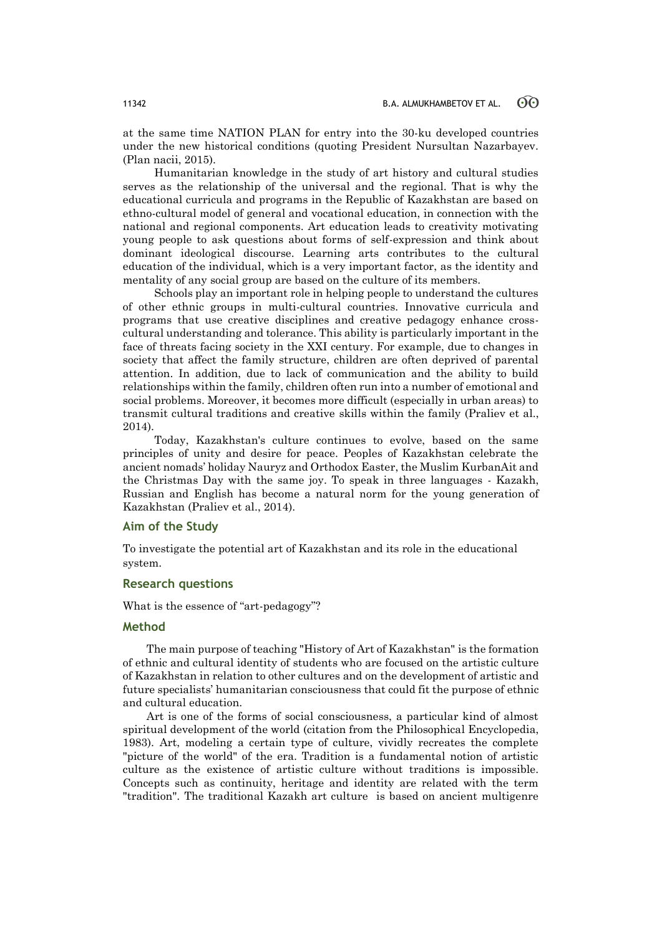at the same time NATION PLAN for entry into the 30-ku developed countries under the new historical conditions (quoting President Nursultan Nazarbayev. (Plan nacii, 2015).

Humanitarian knowledge in the study of art history and cultural studies serves as the relationship of the universal and the regional. That is why the educational curricula and programs in the Republic of Kazakhstan are based on ethno-cultural model of general and vocational education, in connection with the national and regional components. Art education leads to creativity motivating young people to ask questions about forms of self-expression and think about dominant ideological discourse. Learning arts contributes to the cultural education of the individual, which is a very important factor, as the identity and mentality of any social group are based on the culture of its members.

Schools play an important role in helping people to understand the cultures of other ethnic groups in multi-cultural countries. Innovative curricula and programs that use creative disciplines and creative pedagogy enhance crosscultural understanding and tolerance. This ability is particularly important in the face of threats facing society in the XXI century. For example, due to changes in society that affect the family structure, children are often deprived of parental attention. In addition, due to lack of communication and the ability to build relationships within the family, children often run into a number of emotional and social problems. Moreover, it becomes more difficult (especially in urban areas) to transmit cultural traditions and creative skills within the family (Praliev et al., 2014).

Today, Kazakhstan's culture continues to evolve, based on the same principles of unity and desire for peace. Peoples of Kazakhstan celebrate the ancient nomads' holiday Nauryz and Orthodox Easter, the Muslim KurbanAit and the Christmas Day with the same joy. To speak in three languages - Kazakh, Russian and English has become a natural norm for the young generation of Kazakhstan (Praliev et al., 2014).

### **Aim of the Study**

To investigate the potential art of Kazakhstan and its role in the educational system.

## **Research questions**

What is the essence of "art-pedagogy"?

# **Method**

The main purpose of teaching "History of Art of Kazakhstan" is the formation of ethnic and cultural identity of students who are focused on the artistic culture of Kazakhstan in relation to other cultures and on the development of artistic and future specialists' humanitarian consciousness that could fit the purpose of ethnic and cultural education.

Art is one of the forms of social consciousness, a particular kind of almost spiritual development of the world (citation from the Philosophical Encyclopedia, 1983). Art, modeling a certain type of culture, vividly recreates the complete "picture of the world" of the era. Tradition is a fundamental notion of artistic culture as the existence of artistic culture without traditions is impossible. Concepts such as continuity, heritage and identity are related with the term "tradition". The traditional Kazakh art culture is based on ancient multigenre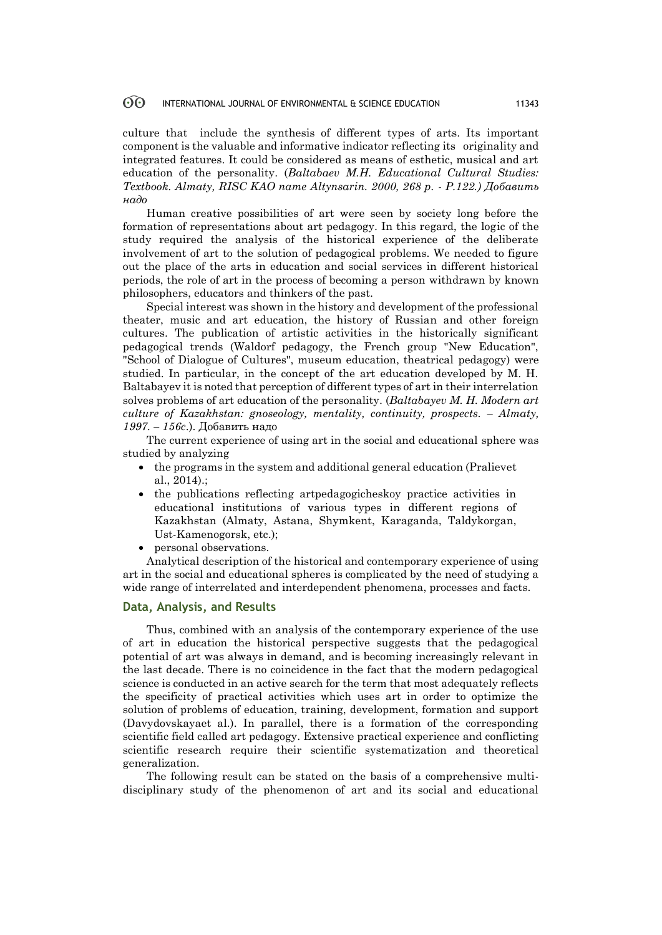#### 60 INTERNATIONAL JOURNAL OF ENVIRONMENTAL & SCIENCE EDUCATION 11343

culture that include the synthesis of different types of arts. Its important component is the valuable and informative indicator reflecting its originality and integrated features. It could be considered as means of esthetic, musical and art education of the personality. (*Baltabaev M.H. Educational Cultural Studies: Textbook. Almaty, RISC KAO name Altynsarin. 2000, 268 p. - P.122.) Добавить надо*

Human creative possibilities of art were seen by society long before the formation of representations about art pedagogy. In this regard, the logic of the study required the analysis of the historical experience of the deliberate involvement of art to the solution of pedagogical problems. We needed to figure out the place of the arts in education and social services in different historical periods, the role of art in the process of becoming a person withdrawn by known philosophers, educators and thinkers of the past.

Special interest was shown in the history and development of the professional theater, music and art education, the history of Russian and other foreign cultures. The publication of artistic activities in the historically significant pedagogical trends (Waldorf pedagogy, the French group "New Education", "School of Dialogue of Cultures", museum education, theatrical pedagogy) were studied. In particular, in the concept of the art education developed by M. H. Baltabayev it is noted that perception of different types of art in their interrelation solves problems of art education of the personality. (*Baltabayev M. H. Modern art culture of Kazakhstan: gnoseology, mentality, continuity, prospects. – Almaty, 1997. – 156c*.). Добавить надо

The current experience of using art in the social and educational sphere was studied by analyzing

- the programs in the system and additional general education (Pralievet al., 2014).;
- the publications reflecting artpedagogicheskoy practice activities in educational institutions of various types in different regions of Kazakhstan (Almaty, Astana, Shymkent, Karaganda, Taldykorgan, Ust-Kamenogorsk, etc.);
- personal observations.

Analytical description of the historical and contemporary experience of using art in the social and educational spheres is complicated by the need of studying a wide range of interrelated and interdependent phenomena, processes and facts.

### **Data, Analysis, and Results**

Thus, combined with an analysis of the contemporary experience of the use of art in education the historical perspective suggests that the pedagogical potential of art was always in demand, and is becoming increasingly relevant in the last decade. There is no coincidence in the fact that the modern pedagogical science is conducted in an active search for the term that most adequately reflects the specificity of practical activities which uses art in order to optimize the solution of problems of education, training, development, formation and support (Davydovskayaet al.). In parallel, there is a formation of the corresponding scientific field called art pedagogy. Extensive practical experience and conflicting scientific research require their scientific systematization and theoretical generalization.

The following result can be stated on the basis of a comprehensive multidisciplinary study of the phenomenon of art and its social and educational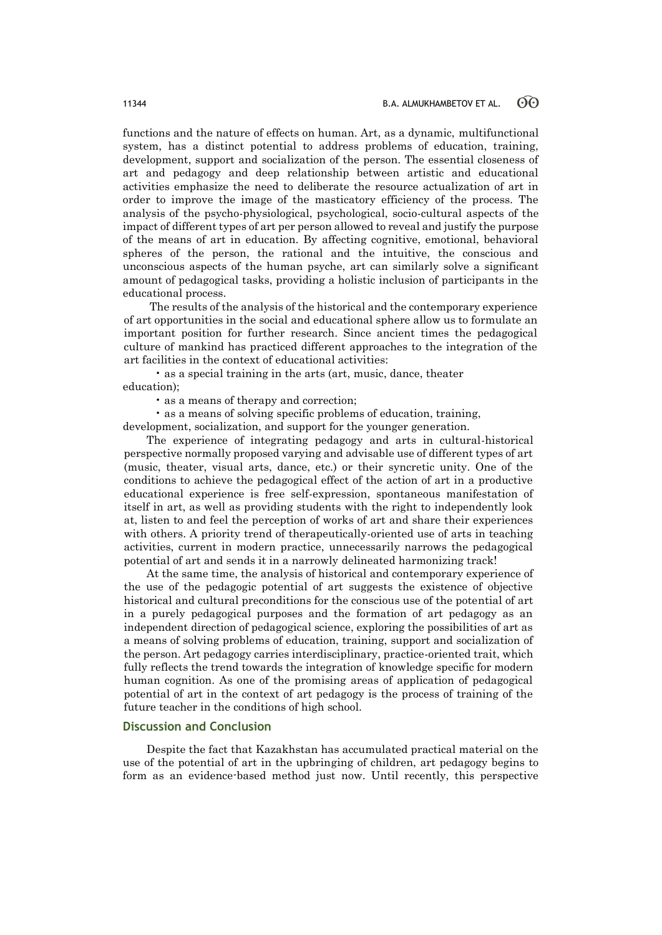functions and the nature of effects on human. Art, as a dynamic, multifunctional system, has a distinct potential to address problems of education, training, development, support and socialization of the person. The essential closeness of art and pedagogy and deep relationship between artistic and educational activities emphasize the need to deliberate the resource actualization of art in order to improve the image of the masticatory efficiency of the process. The analysis of the psycho-physiological, psychological, socio-cultural aspects of the impact of different types of art per person allowed to reveal and justify the purpose of the means of art in education. By affecting cognitive, emotional, behavioral spheres of the person, the rational and the intuitive, the conscious and unconscious aspects of the human psyche, art can similarly solve a significant amount of pedagogical tasks, providing a holistic inclusion of participants in the educational process.

The results of the analysis of the historical and the contemporary experience of art opportunities in the social and educational sphere allow us to formulate an important position for further research. Since ancient times the pedagogical culture of mankind has practiced different approaches to the integration of the art facilities in the context of educational activities:

 • as a special training in the arts (art, music, dance, theater education);

• as a means of therapy and correction;

• as a means of solving specific problems of education, training,

development, socialization, and support for the younger generation.

The experience of integrating pedagogy and arts in cultural-historical perspective normally proposed varying and advisable use of different types of art (music, theater, visual arts, dance, etc.) or their syncretic unity. One of the conditions to achieve the pedagogical effect of the action of art in a productive educational experience is free self-expression, spontaneous manifestation of itself in art, as well as providing students with the right to independently look at, listen to and feel the perception of works of art and share their experiences with others. A priority trend of therapeutically-oriented use of arts in teaching activities, current in modern practice, unnecessarily narrows the pedagogical potential of art and sends it in a narrowly delineated harmonizing track!

At the same time, the analysis of historical and contemporary experience of the use of the pedagogic potential of art suggests the existence of objective historical and cultural preconditions for the conscious use of the potential of art in a purely pedagogical purposes and the formation of art pedagogy as an independent direction of pedagogical science, exploring the possibilities of art as a means of solving problems of education, training, support and socialization of the person. Art pedagogy carries interdisciplinary, practice-oriented trait, which fully reflects the trend towards the integration of knowledge specific for modern human cognition. As one of the promising areas of application of pedagogical potential of art in the context of art pedagogy is the process of training of the future teacher in the conditions of high school.

## **Discussion and Conclusion**

Despite the fact that Kazakhstan has accumulated practical material on the use of the potential of art in the upbringing of children, art pedagogy begins to form as an evidence-based method just now. Until recently, this perspective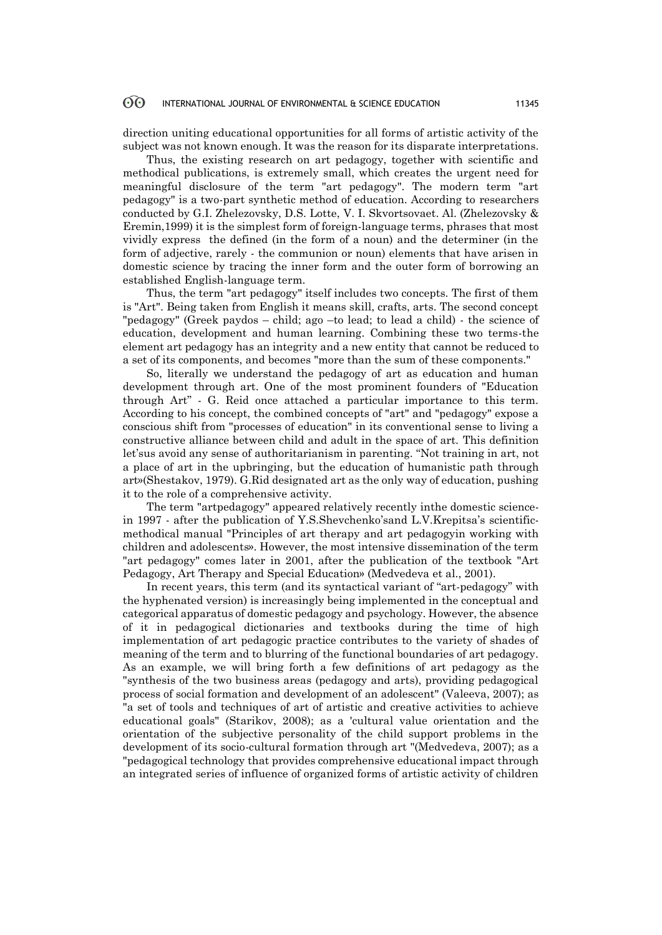#### **ගි** INTERNATIONAL JOURNAL OF ENVIRONMENTAL & SCIENCE EDUCATION 11345

direction uniting educational opportunities for all forms of artistic activity of the subject was not known enough. It was the reason for its disparate interpretations.

Thus, the existing research on art pedagogy, together with scientific and methodical publications, is extremely small, which creates the urgent need for meaningful disclosure of the term "art pedagogy". The modern term "art pedagogy" is a two-part synthetic method of education. According to researchers conducted by G.I. Zhelezovsky, D.S. Lotte, V. I. Skvortsovaet. Al. (Zhelezovsky & Eremin,1999) it is the simplest form of foreign-language terms, phrases that most vividly express the defined (in the form of a noun) and the determiner (in the form of adjective, rarely - the communion or noun) elements that have arisen in domestic science by tracing the inner form and the outer form of borrowing an established English-language term.

Thus, the term "art pedagogy" itself includes two concepts. The first of them is "Art". Being taken from English it means skill, crafts, arts. The second concept "pedagogy" (Greek paydos – child; ago –to lead; to lead a child) - the science of education, development and human learning. Combining these two terms-the element art pedagogy has an integrity and a new entity that cannot be reduced to a set of its components, and becomes "more than the sum of these components."

So, literally we understand the pedagogy of art as education and human development through art. One of the most prominent founders of "Education through Art" - G. Reid once attached a particular importance to this term. According to his concept, the combined concepts of "art" and "pedagogy" expose a conscious shift from "processes of education" in its conventional sense to living a constructive alliance between child and adult in the space of art. This definition let'sus avoid any sense of authoritarianism in parenting. "Not training in art, not a place of art in the upbringing, but the education of humanistic path through art»(Shestakov, 1979). G.Rid designated art as the only way of education, pushing it to the role of a comprehensive activity.

The term "artpedagogy" appeared relatively recently inthe domestic sciencein 1997 - after the publication of Y.S.Shevchenko'sand L.V.Krepitsa's scientificmethodical manual "Principles of art therapy and art pedagogyin working with children and adolescents». However, the most intensive dissemination of the term "art pedagogy" comes later in 2001, after the publication of the textbook "Art Pedagogy, Art Therapy and Special Education» (Medvedevа et al., 2001).

In recent years, this term (and its syntactical variant of "art-pedagogy" with the hyphenated version) is increasingly being implemented in the conceptual and categorical apparatus of domestic pedagogy and psychology. However, the absence of it in pedagogical dictionaries and textbooks during the time of high implementation of art pedagogic practice contributes to the variety of shades of meaning of the term and to blurring of the functional boundaries of art pedagogy. As an example, we will bring forth a few definitions of art pedagogy as the "synthesis of the two business areas (pedagogy and arts), providing pedagogical process of social formation and development of an adolescent" (Valeeva, 2007); as "a set of tools and techniques of art of artistic and creative activities to achieve educational goals" (Starikov, 2008); as a 'cultural value orientation and the orientation of the subjective personality of the child support problems in the development of its socio-cultural formation through art "(Medvedevа, 2007); as a "pedagogical technology that provides comprehensive educational impact through an integrated series of influence of organized forms of artistic activity of children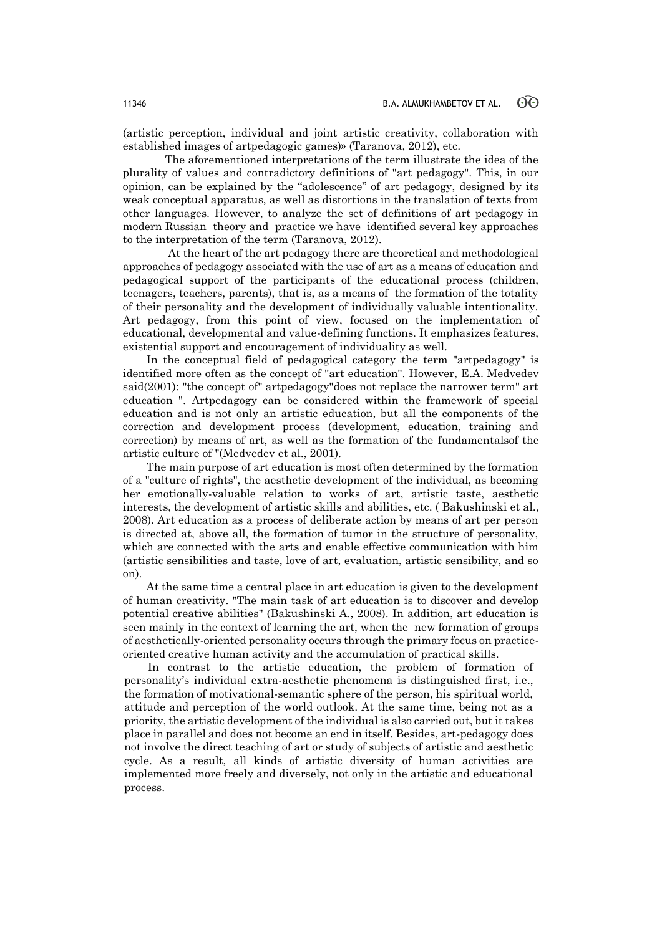(artistic perception, individual and joint artistic creativity, collaboration with established images of artpedagogic games)» (Taranova, 2012), etc.

 The aforementioned interpretations of the term illustrate the idea of the plurality of values and contradictory definitions of "art pedagogy". This, in our opinion, can be explained by the "adolescence" of art pedagogy, designed by its weak conceptual apparatus, as well as distortions in the translation of texts from other languages. However, to analyze the set of definitions of art pedagogy in modern Russian theory and practice we have identified several key approaches to the interpretation of the term (Taranova, 2012).

 At the heart of the art pedagogy there are theoretical and methodological approaches of pedagogy associated with the use of art as a means of education and pedagogical support of the participants of the educational process (children, teenagers, teachers, parents), that is, as a means of the formation of the totality of their personality and the development of individually valuable intentionality. Art pedagogy, from this point of view, focused on the implementation of educational, developmental and value-defining functions. It emphasizes features, existential support and encouragement of individuality as well.

In the conceptual field of pedagogical category the term "artpedagogy" is identified more often as the concept of "art education". However, E.A. Medvedev said(2001): "the concept of" artpedagogy"does not replace the narrower term" art education ". Artpedagogy can be considered within the framework of special education and is not only an artistic education, but all the components of the correction and development process (development, education, training and correction) by means of art, as well as the formation of the fundamentalsof the artistic culture of "(Medvedev et al., 2001).

The main purpose of art education is most often determined by the formation of a "culture of rights", the aesthetic development of the individual, as becoming her emotionally-valuable relation to works of art, artistic taste, aesthetic interests, the development of artistic skills and abilities, etc. ( Bakushinski et al., 2008). Art education as a process of deliberate action by means of art per person is directed at, above all, the formation of tumor in the structure of personality, which are connected with the arts and enable effective communication with him (artistic sensibilities and taste, love of art, evaluation, artistic sensibility, and so on).

At the same time a central place in art education is given to the development of human creativity. "The main task of art education is to discover and develop potential creative abilities" (Bakushinski A., 2008). In addition, art education is seen mainly in the context of learning the art, when the new formation of groups of aesthetically-oriented personality occurs through the primary focus on practiceoriented creative human activity and the accumulation of practical skills.

In contrast to the artistic education, the problem of formation of personality's individual extra-aesthetic phenomena is distinguished first, i.e., the formation of motivational-semantic sphere of the person, his spiritual world, attitude and perception of the world outlook. At the same time, being not as a priority, the artistic development of the individual is also carried out, but it takes place in parallel and does not become an end in itself. Besides, art-pedagogy does not involve the direct teaching of art or study of subjects of artistic and aesthetic cycle. As a result, all kinds of artistic diversity of human activities are implemented more freely and diversely, not only in the artistic and educational process.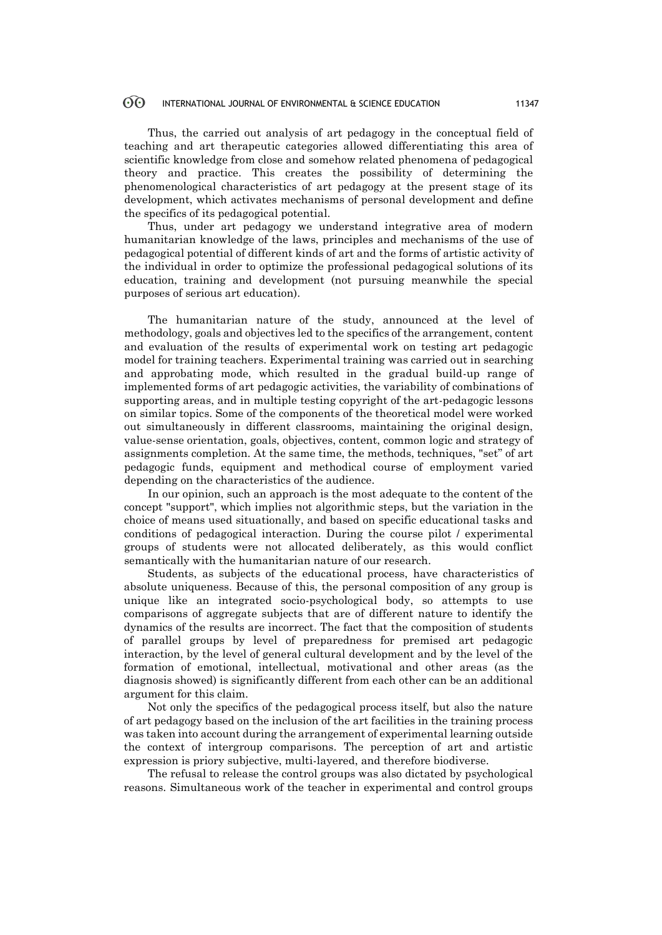#### 60 INTERNATIONAL JOURNAL OF ENVIRONMENTAL & SCIENCE EDUCATION 11347

Thus, the carried out analysis of art pedagogy in the conceptual field of teaching and art therapeutic categories allowed differentiating this area of scientific knowledge from close and somehow related phenomena of pedagogical theory and practice. This creates the possibility of determining the phenomenological characteristics of art pedagogy at the present stage of its development, which activates mechanisms of personal development and define the specifics of its pedagogical potential.

Thus, under art pedagogy we understand integrative area of modern humanitarian knowledge of the laws, principles and mechanisms of the use of pedagogical potential of different kinds of art and the forms of artistic activity of the individual in order to optimize the professional pedagogical solutions of its education, training and development (not pursuing meanwhile the special purposes of serious art education).

The humanitarian nature of the study, announced at the level of methodology, goals and objectives led to the specifics of the arrangement, content and evaluation of the results of experimental work on testing art pedagogic model for training teachers. Experimental training was carried out in searching and approbating mode, which resulted in the gradual build-up range of implemented forms of art pedagogic activities, the variability of combinations of supporting areas, and in multiple testing copyright of the art-pedagogic lessons on similar topics. Some of the components of the theoretical model were worked out simultaneously in different classrooms, maintaining the original design, value-sense orientation, goals, objectives, content, common logic and strategy of assignments completion. At the same time, the methods, techniques, "set" of art pedagogic funds, equipment and methodical course of employment varied depending on the characteristics of the audience.

In our opinion, such an approach is the most adequate to the content of the concept "support", which implies not algorithmic steps, but the variation in the choice of means used situationally, and based on specific educational tasks and conditions of pedagogical interaction. During the course pilot / experimental groups of students were not allocated deliberately, as this would conflict semantically with the humanitarian nature of our research.

Students, as subjects of the educational process, have characteristics of absolute uniqueness. Because of this, the personal composition of any group is unique like an integrated socio-psychological body, so attempts to use comparisons of aggregate subjects that are of different nature to identify the dynamics of the results are incorrect. The fact that the composition of students of parallel groups by level of preparedness for premised art pedagogic interaction, by the level of general cultural development and by the level of the formation of emotional, intellectual, motivational and other areas (as the diagnosis showed) is significantly different from each other can be an additional argument for this claim.

Not only the specifics of the pedagogical process itself, but also the nature of art pedagogy based on the inclusion of the art facilities in the training process was taken into account during the arrangement of experimental learning outside the context of intergroup comparisons. The perception of art and artistic expression is priory subjective, multi-layered, and therefore biodiverse.

The refusal to release the control groups was also dictated by psychological reasons. Simultaneous work of the teacher in experimental and control groups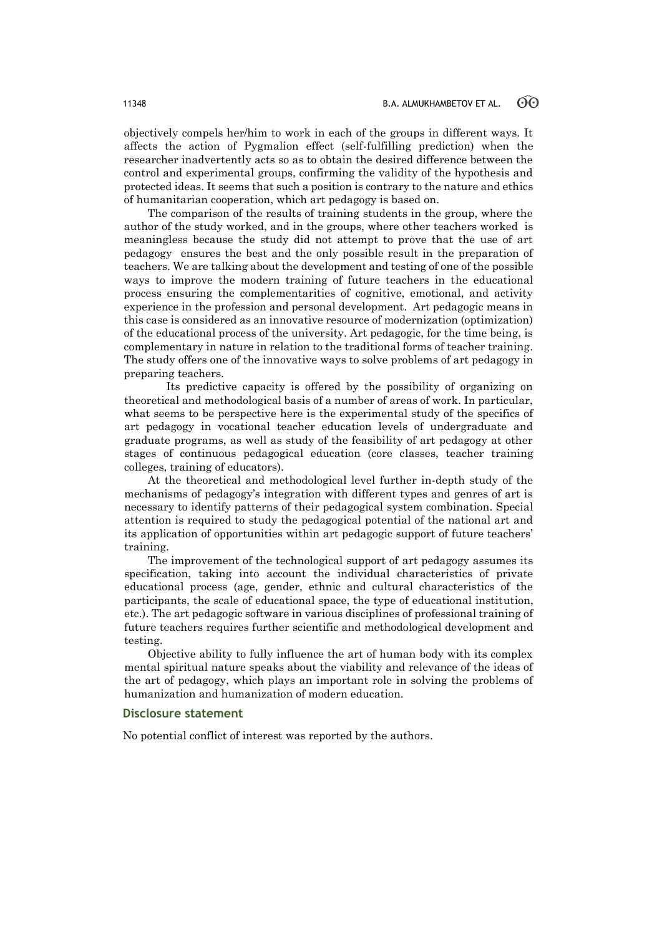objectively compels her/him to work in each of the groups in different ways. It affects the action of Pygmalion effect (self-fulfilling prediction) when the researcher inadvertently acts so as to obtain the desired difference between the control and experimental groups, confirming the validity of the hypothesis and protected ideas. It seems that such a position is contrary to the nature and ethics of humanitarian cooperation, which art pedagogy is based on.

The comparison of the results of training students in the group, where the author of the study worked, and in the groups, where other teachers worked is meaningless because the study did not attempt to prove that the use of art pedagogy ensures the best and the only possible result in the preparation of teachers. We are talking about the development and testing of one of the possible ways to improve the modern training of future teachers in the educational process ensuring the complementarities of cognitive, emotional, and activity experience in the profession and personal development. Art pedagogic means in this case is considered as an innovative resource of modernization (optimization) of the educational process of the university. Art pedagogic, for the time being, is complementary in nature in relation to the traditional forms of teacher training. The study offers one of the innovative ways to solve problems of art pedagogy in preparing teachers.

 Its predictive capacity is offered by the possibility of organizing on theoretical and methodological basis of a number of areas of work. In particular, what seems to be perspective here is the experimental study of the specifics of art pedagogy in vocational teacher education levels of undergraduate and graduate programs, as well as study of the feasibility of art pedagogy at other stages of continuous pedagogical education (core classes, teacher training colleges, training of educators).

At the theoretical and methodological level further in-depth study of the mechanisms of pedagogy's integration with different types and genres of art is necessary to identify patterns of their pedagogical system combination. Special attention is required to study the pedagogical potential of the national art and its application of opportunities within art pedagogic support of future teachers' training.

The improvement of the technological support of art pedagogy assumes its specification, taking into account the individual characteristics of private educational process (age, gender, ethnic and cultural characteristics of the participants, the scale of educational space, the type of educational institution, etc.). The art pedagogic software in various disciplines of professional training of future teachers requires further scientific and methodological development and testing.

Objective ability to fully influence the art of human body with its complex mental spiritual nature speaks about the viability and relevance of the ideas of the art of pedagogy, which plays an important role in solving the problems of humanization and humanization of modern education.

### **Disclosure statement**

No potential conflict of interest was reported by the authors.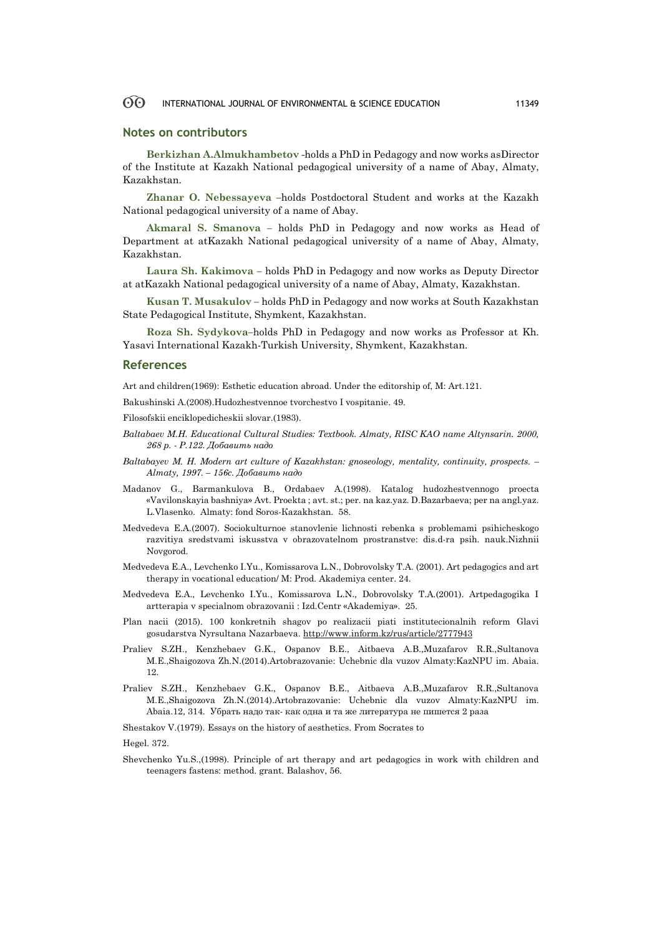#### 60 INTERNATIONAL JOURNAL OF ENVIRONMENTAL & SCIENCE EDUCATION 11349

#### **Notes on contributors**

**Berkizhan A.Almukhambetov -**holds a PhD in Pedagogy and now works asDirector of the Institute at Kazakh National pedagogical university of a name of Abay, Almaty, [Kazakhstan.](https://en.wikipedia.org/wiki/Kazakhstan)

**Zhanar O. Nebessayeva –**holds Postdoctoral Student and works at the Kazakh National pedagogical university of a name of Abay.

**Akmaral S. Smanova –** holds PhD in Pedagogy and now works as Head of Department at atKazakh National pedagogical university of a name of Abay, Almaty, [Kazakhstan.](https://en.wikipedia.org/wiki/Kazakhstan)

**Laura Sh. Kakimova –** holds PhD in Pedagogy and now works as Deputy Director at atKazakh National pedagogical university of a name of Abay, Almaty, [Kazakhstan.](https://en.wikipedia.org/wiki/Kazakhstan)

**Kusan T. Musakulov –** holds PhD in Pedagogy and now works at South Kazakhstan State Pedagogical Institute, Shymkent, Kazakhstan.

**Roza Sh. Sydykova–**holds PhD in Pedagogy and now works as Professor at Kh. Yasavi International Kazakh-Turkish University, Shymkent, Kazakhstan.

#### **References**

Art and children(1969): Esthetic education abroad. Under the editorship of, M: Art.121.

Bakushinski А.(2008).Hudozhestvennoe tvorchestvo I vospitanie. 49.

Filosofskii enciklopedicheskii slovar.(1983).

- *Baltabaev M.H. Educational Cultural Studies: Textbook. Almaty, RISC KAO name Altynsarin. 2000, 268 p. - P.122. Добавить надо*
- *Baltabayev M. H. Modern art culture of Kazakhstan: gnoseology, mentality, continuity, prospects. – Almaty, 1997. – 156c. Добавить надо*
- Маdаnоv G., Barmankulova B., Оrdabaev А.(1998). Каtalog hudozhestvennogo proecta «Vavilonskayia bashniya» Аvt. Proekta ; avt. st.; per. na kaz.yaz. D.Bazarbaeva; per na аngl.yaz. L.Vlasenko. Аlmaty: fond Sоros-Каzаkhstаn. 58.
- Мedvedeva Е.А.(2007). Sociokulturnoe stanovlenie lichnosti rebenka s problemami psihicheskogo razvitiya sredstvami iskusstva v obrazovatelnom prostranstve: dis.d-ra psih. nauk.Nizhnii Novgorod.
- Medvedeva E.A., Levchenko I.Yu., Komissarova L.N., Dobrovolsky T.A. (2001). Art pedagogics and art therapy in vocational education/ M: Prod. Akademiya center. 24.
- Medvedeva E.A., Levchenko I.Yu., Komissarova L.N., Dobrovolsky T.A.(2001). Artpedagogika I artterapia v specialnom obrazovanii : Izd.Centr «Аkademiya». 25.
- Plan nacii (2015). 100 konkretnih shagov po realizacii piati institutecionalnih reform Glavi gosudarstva Nyrsultana Nazarbaeva[. http://www.inform.kz/rus/article/2777943](http://www.inform.kz/rus/article/2777943)
- Praliev S.ZH., Kenzhebaev G.K., Ospanov B.E., Aitbaeva A.B.,Muzafarov R.R.,Sultanova M.E.,Shaigozova Zh.N.(2014).Artobrazovanie: Uchebnic dla vuzov Almaty:KazNPU im. Abaia. 12.
- Praliev S.ZH., Kenzhebaev G.K., Ospanov B.E., Aitbaeva A.B.,Muzafarov R.R.,Sultanova M.E.,Shaigozova Zh.N.(2014).Artobrazovanie: Uchebnic dla vuzov Almaty:KazNPU im. Abaia.12, 314. Убрать надо так- как одна и та же литература не пишется 2 раза

Shestakov V.(1979). Essays on the history of aesthetics. From Socrates to

Hegel. 372.

Shevchenko Yu.S.,(1998). Principle of art therapy and art pedagogics in work with children and teenagers fastens: method. grant. Balashov, 56.